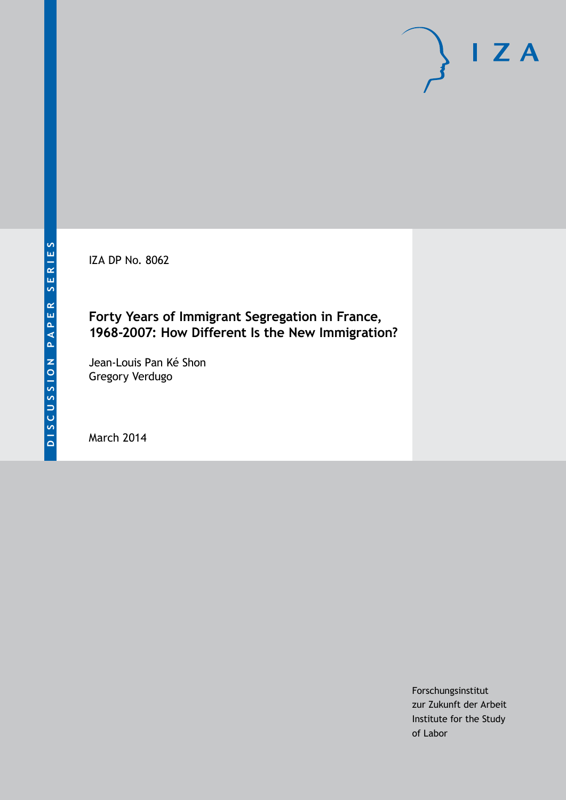IZA DP No. 8062

# **Forty Years of Immigrant Segregation in France, 1968-2007: How Different Is the New Immigration?**

Jean-Louis Pan Ké Shon Gregory Verdugo

March 2014

Forschungsinstitut zur Zukunft der Arbeit Institute for the Study of Labor

 $I Z A$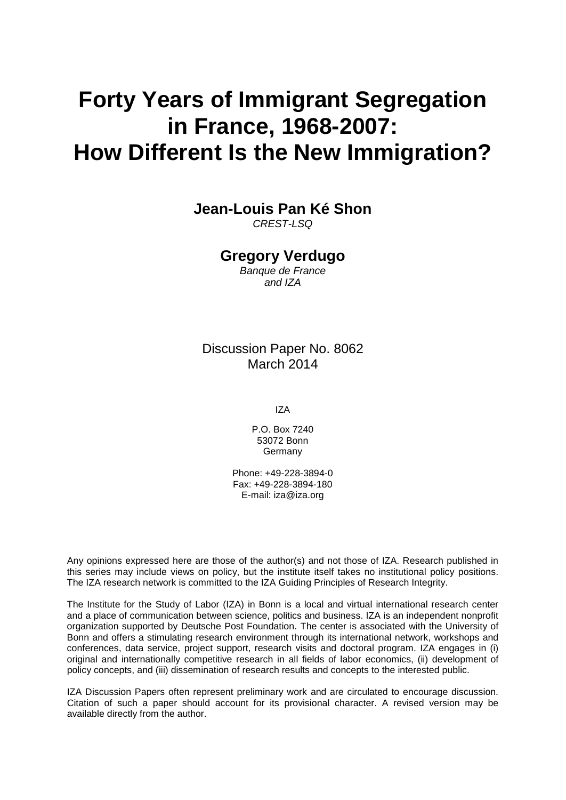# **Forty Years of Immigrant Segregation in France, 1968-2007: How Different Is the New Immigration?**

**Jean-Louis Pan Ké Shon**

*CREST-LSQ*

### **Gregory Verdugo**

*Banque de France and IZA*

### Discussion Paper No. 8062 March 2014

IZA

P.O. Box 7240 53072 Bonn **Germany** 

Phone: +49-228-3894-0 Fax: +49-228-3894-180 E-mail: [iza@iza.org](mailto:iza@iza.org)

Any opinions expressed here are those of the author(s) and not those of IZA. Research published in this series may include views on policy, but the institute itself takes no institutional policy positions. The IZA research network is committed to the IZA Guiding Principles of Research Integrity.

The Institute for the Study of Labor (IZA) in Bonn is a local and virtual international research center and a place of communication between science, politics and business. IZA is an independent nonprofit organization supported by Deutsche Post Foundation. The center is associated with the University of Bonn and offers a stimulating research environment through its international network, workshops and conferences, data service, project support, research visits and doctoral program. IZA engages in (i) original and internationally competitive research in all fields of labor economics, (ii) development of policy concepts, and (iii) dissemination of research results and concepts to the interested public.

<span id="page-1-0"></span>IZA Discussion Papers often represent preliminary work and are circulated to encourage discussion. Citation of such a paper should account for its provisional character. A revised version may be available directly from the author.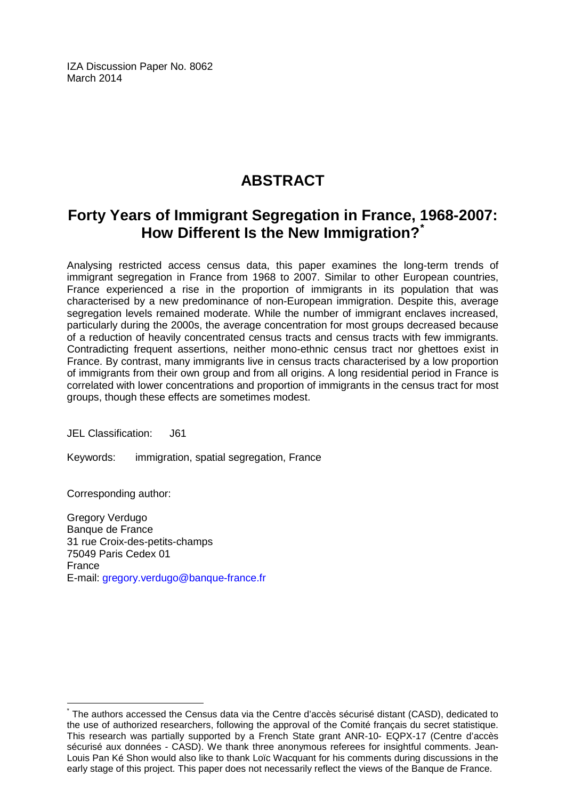IZA Discussion Paper No. 8062 March 2014

# **ABSTRACT**

## **Forty Years of Immigrant Segregation in France, 1968-2007: How Different Is the New Immigration?[\\*](#page-1-0)**

Analysing restricted access census data, this paper examines the long-term trends of immigrant segregation in France from 1968 to 2007. Similar to other European countries, France experienced a rise in the proportion of immigrants in its population that was characterised by a new predominance of non-European immigration. Despite this, average segregation levels remained moderate. While the number of immigrant enclaves increased, particularly during the 2000s, the average concentration for most groups decreased because of a reduction of heavily concentrated census tracts and census tracts with few immigrants. Contradicting frequent assertions, neither mono-ethnic census tract nor ghettoes exist in France. By contrast, many immigrants live in census tracts characterised by a low proportion of immigrants from their own group and from all origins. A long residential period in France is correlated with lower concentrations and proportion of immigrants in the census tract for most groups, though these effects are sometimes modest.

JEL Classification: J61

Keywords: immigration, spatial segregation, France

Corresponding author:

Gregory Verdugo Banque de France 31 rue Croix-des-petits-champs 75049 Paris Cedex 01 France E-mail: [gregory.verdugo@banque-france.fr](mailto:gregory.verdugo@banque-france.fr)

\* The authors accessed the Census data via the Centre d'accès sécurisé distant (CASD), dedicated to the use of authorized researchers, following the approval of the Comité français du secret statistique. This research was partially supported by a French State grant ANR-10- EQPX-17 (Centre d'accès sécurisé aux données - CASD). We thank three anonymous referees for insightful comments. Jean-Louis Pan Ké Shon would also like to thank Loïc Wacquant for his comments during discussions in the early stage of this project. This paper does not necessarily reflect the views of the Banque de France.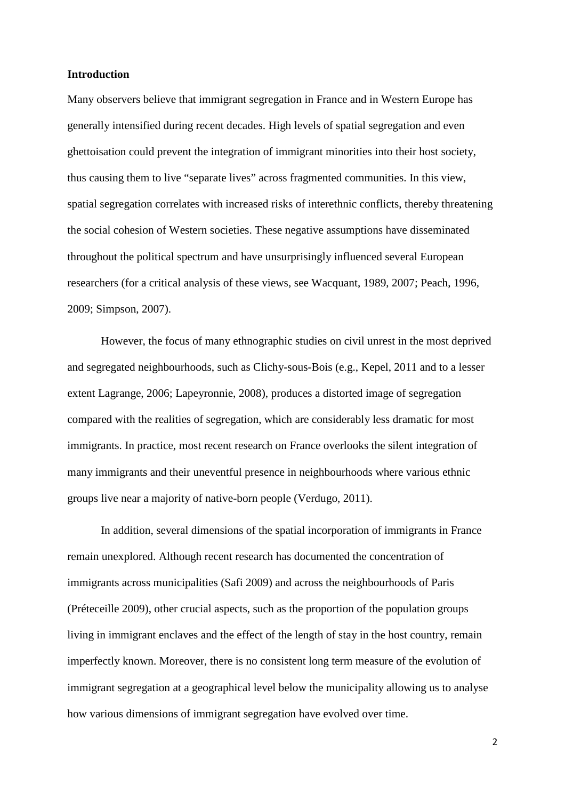#### **Introduction**

Many observers believe that immigrant segregation in France and in Western Europe has generally intensified during recent decades. High levels of spatial segregation and even ghettoisation could prevent the integration of immigrant minorities into their host society, thus causing them to live "separate lives" across fragmented communities. In this view, spatial segregation correlates with increased risks of interethnic conflicts, thereby threatening the social cohesion of Western societies. These negative assumptions have disseminated throughout the political spectrum and have unsurprisingly influenced several European researchers (for a critical analysis of these views, see Wacquant, 1989, 2007; Peach, 1996, 2009; Simpson, 2007).

However, the focus of many ethnographic studies on civil unrest in the most deprived and segregated neighbourhoods, such as Clichy-sous-Bois (e.g., Kepel, 2011 and to a lesser extent Lagrange, 2006; Lapeyronnie, 2008), produces a distorted image of segregation compared with the realities of segregation, which are considerably less dramatic for most immigrants. In practice, most recent research on France overlooks the silent integration of many immigrants and their uneventful presence in neighbourhoods where various ethnic groups live near a majority of native-born people (Verdugo, 2011).

In addition, several dimensions of the spatial incorporation of immigrants in France remain unexplored. Although recent research has documented the concentration of immigrants across municipalities (Safi 2009) and across the neighbourhoods of Paris (Préteceille 2009), other crucial aspects, such as the proportion of the population groups living in immigrant enclaves and the effect of the length of stay in the host country, remain imperfectly known. Moreover, there is no consistent long term measure of the evolution of immigrant segregation at a geographical level below the municipality allowing us to analyse how various dimensions of immigrant segregation have evolved over time.

2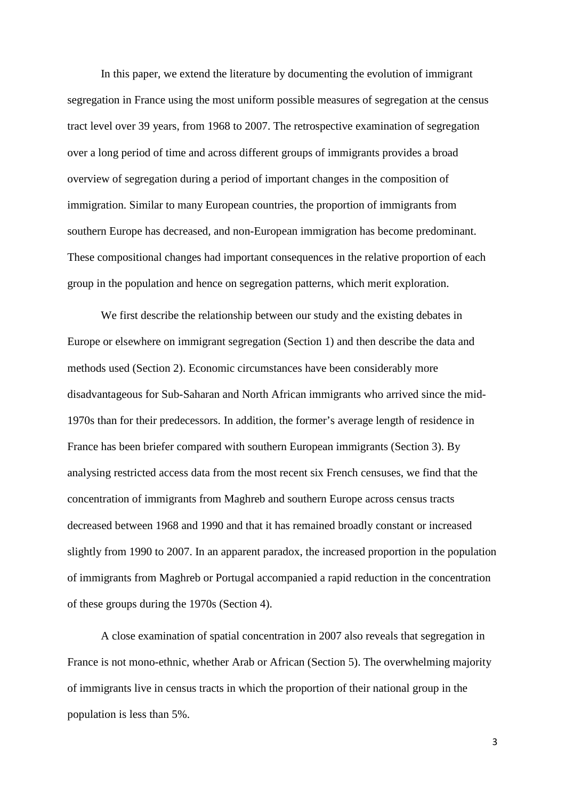In this paper, we extend the literature by documenting the evolution of immigrant segregation in France using the most uniform possible measures of segregation at the census tract level over 39 years, from 1968 to 2007. The retrospective examination of segregation over a long period of time and across different groups of immigrants provides a broad overview of segregation during a period of important changes in the composition of immigration. Similar to many European countries, the proportion of immigrants from southern Europe has decreased, and non-European immigration has become predominant. These compositional changes had important consequences in the relative proportion of each group in the population and hence on segregation patterns, which merit exploration.

We first describe the relationship between our study and the existing debates in Europe or elsewhere on immigrant segregation (Section 1) and then describe the data and methods used (Section 2). Economic circumstances have been considerably more disadvantageous for Sub-Saharan and North African immigrants who arrived since the mid-1970s than for their predecessors. In addition, the former's average length of residence in France has been briefer compared with southern European immigrants (Section 3). By analysing restricted access data from the most recent six French censuses, we find that the concentration of immigrants from Maghreb and southern Europe across census tracts decreased between 1968 and 1990 and that it has remained broadly constant or increased slightly from 1990 to 2007. In an apparent paradox, the increased proportion in the population of immigrants from Maghreb or Portugal accompanied a rapid reduction in the concentration of these groups during the 1970s (Section 4).

A close examination of spatial concentration in 2007 also reveals that segregation in France is not mono-ethnic, whether Arab or African (Section 5). The overwhelming majority of immigrants live in census tracts in which the proportion of their national group in the population is less than 5%.

3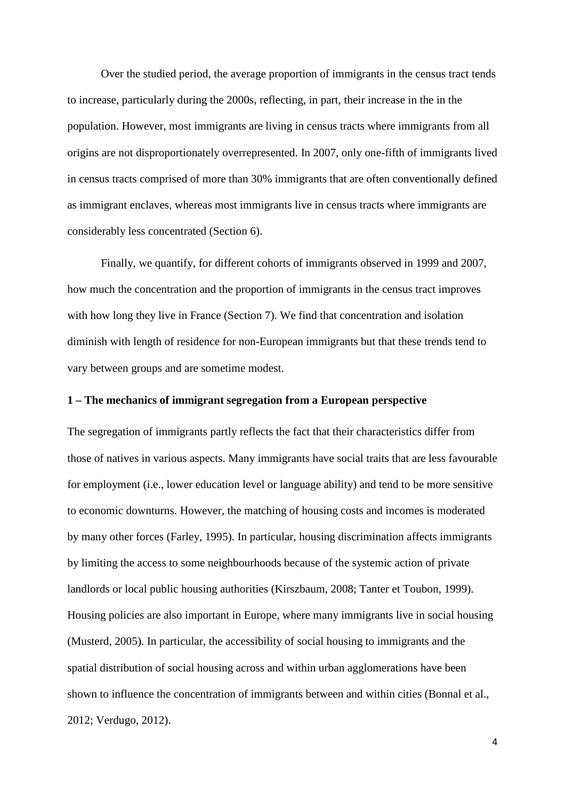Over the studied period, the average proportion of immigrants in the census tract tends to increase, particularly during the 2000s, reflecting, in part, their increase in the in the population. However, most immigrants are living in census tracts where immigrants from all origins are not disproportionately overrepresented. In 2007, only one-fifth of immigrants lived in census tracts comprised of more than 30% immigrants that are often conventionally defined as immigrant enclaves, whereas most immigrants live in census tracts where immigrants are considerably less concentrated (Section 6).

Finally, we quantify, for different cohorts of immigrants observed in 1999 and 2007, how much the concentration and the proportion of immigrants in the census tract improves with how long they live in France (Section 7). We find that concentration and isolation diminish with length of residence for non-European immigrants but that these trends tend to vary between groups and are sometime modest.

#### **1 – The mechanics of immigrant segregation from a European perspective**

The segregation of immigrants partly reflects the fact that their characteristics differ from those of natives in various aspects. Many immigrants have social traits that are less favourable for employment (i.e., lower education level or language ability) and tend to be more sensitive to economic downturns. However, the matching of housing costs and incomes is moderated by many other forces (Farley, 1995). In particular, housing discrimination affects immigrants by limiting the access to some neighbourhoods because of the systemic action of private landlords or local public housing authorities (Kirszbaum, 2008; Tanter et Toubon, 1999). Housing policies are also important in Europe, where many immigrants live in social housing (Musterd, 2005). In particular, the accessibility of social housing to immigrants and the spatial distribution of social housing across and within urban agglomerations have been shown to influence the concentration of immigrants between and within cities (Bonnal et al., 2012; Verdugo, 2012).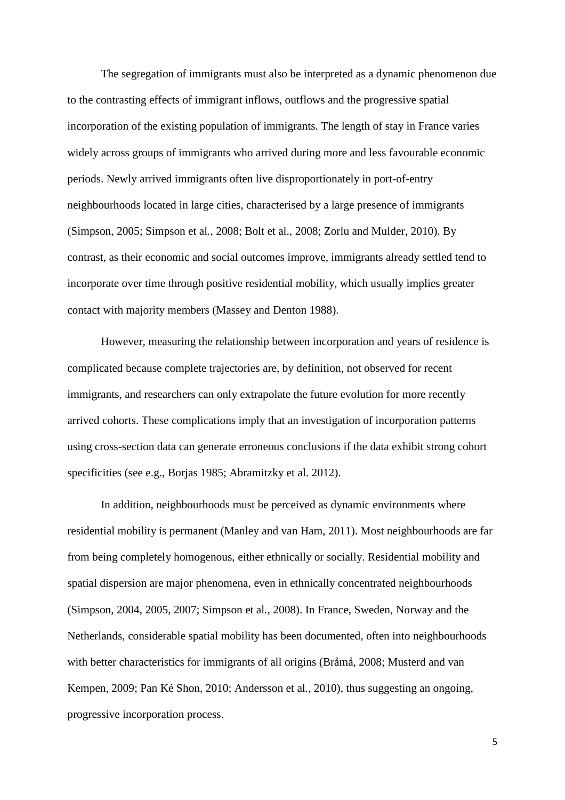The segregation of immigrants must also be interpreted as a dynamic phenomenon due to the contrasting effects of immigrant inflows, outflows and the progressive spatial incorporation of the existing population of immigrants. The length of stay in France varies widely across groups of immigrants who arrived during more and less favourable economic periods. Newly arrived immigrants often live disproportionately in port-of-entry neighbourhoods located in large cities, characterised by a large presence of immigrants (Simpson, 2005; Simpson et al*.,* 2008; Bolt et al., 2008; Zorlu and Mulder, 2010). By contrast, as their economic and social outcomes improve, immigrants already settled tend to incorporate over time through positive residential mobility, which usually implies greater contact with majority members (Massey and Denton 1988).

However, measuring the relationship between incorporation and years of residence is complicated because complete trajectories are, by definition, not observed for recent immigrants, and researchers can only extrapolate the future evolution for more recently arrived cohorts. These complications imply that an investigation of incorporation patterns using cross-section data can generate erroneous conclusions if the data exhibit strong cohort specificities (see e.g., Borjas 1985; Abramitzky et al. 2012).

In addition, neighbourhoods must be perceived as dynamic environments where residential mobility is permanent (Manley and van Ham, 2011). Most neighbourhoods are far from being completely homogenous, either ethnically or socially. Residential mobility and spatial dispersion are major phenomena, even in ethnically concentrated neighbourhoods (Simpson, 2004, 2005, 2007; Simpson et al*.,* 2008). In France, Sweden, Norway and the Netherlands, considerable spatial mobility has been documented, often into neighbourhoods with better characteristics for immigrants of all origins (Bråmå, 2008; Musterd and van Kempen, 2009; Pan Ké Shon, 2010; Andersson et al*.*, 2010), thus suggesting an ongoing, progressive incorporation process.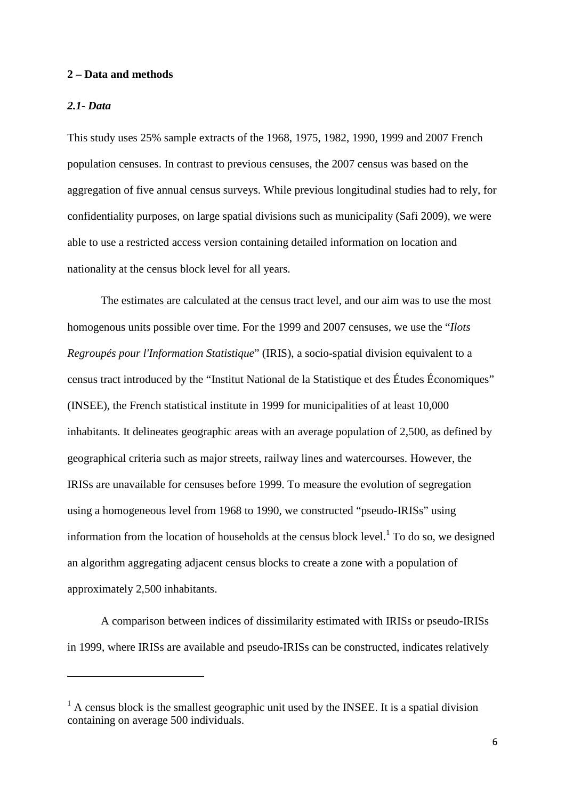#### **2 – Data and methods**

#### *2.1- Data*

 $\overline{a}$ 

This study uses 25% sample extracts of the 1968, 1975, 1982, 1990, 1999 and 2007 French population censuses. In contrast to previous censuses, the 2007 census was based on the aggregation of five annual census surveys. While previous longitudinal studies had to rely, for confidentiality purposes, on large spatial divisions such as municipality (Safi 2009), we were able to use a restricted access version containing detailed information on location and nationality at the census block level for all years.

The estimates are calculated at the census tract level, and our aim was to use the most homogenous units possible over time. For the 1999 and 2007 censuses, we use the "*Ilots Regroupés pour l'Information Statistique*" (IRIS), a socio-spatial division equivalent to a census tract introduced by the "Institut National de la Statistique et des Études Économiques" (INSEE), the French statistical institute in 1999 for municipalities of at least 10,000 inhabitants. It delineates geographic areas with an average population of 2,500, as defined by geographical criteria such as major streets, railway lines and watercourses. However, the IRISs are unavailable for censuses before 1999. To measure the evolution of segregation using a homogeneous level from 1968 to 1990, we constructed "pseudo-IRISs" using information from the location of households at the census block level. $<sup>1</sup>$  To do so, we designed</sup> an algorithm aggregating adjacent census blocks to create a zone with a population of approximately 2,500 inhabitants.

A comparison between indices of dissimilarity estimated with IRISs or pseudo-IRISs in 1999, where IRISs are available and pseudo-IRISs can be constructed, indicates relatively

 $<sup>1</sup>$  A census block is the smallest geographic unit used by the INSEE. It is a spatial division</sup> containing on average 500 individuals.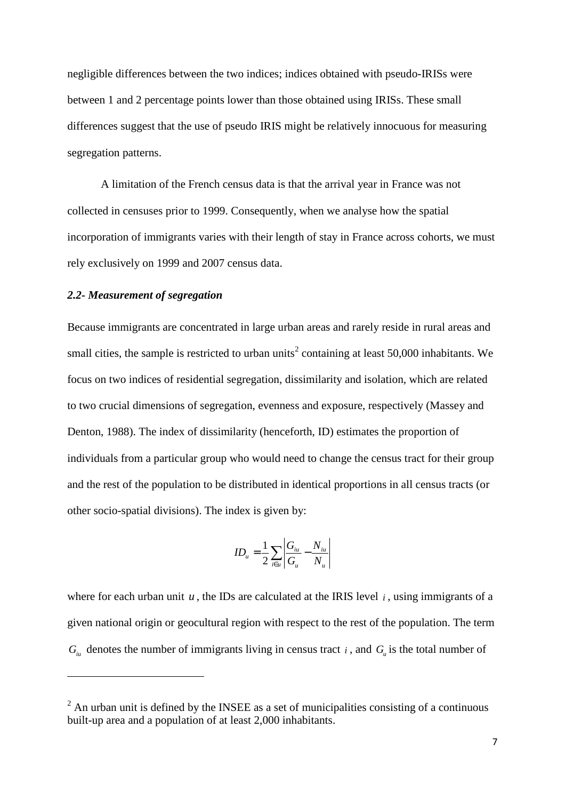negligible differences between the two indices; indices obtained with pseudo-IRISs were between 1 and 2 percentage points lower than those obtained using IRISs. These small differences suggest that the use of pseudo IRIS might be relatively innocuous for measuring segregation patterns.

A limitation of the French census data is that the arrival year in France was not collected in censuses prior to 1999. Consequently, when we analyse how the spatial incorporation of immigrants varies with their length of stay in France across cohorts, we must rely exclusively on 1999 and 2007 census data.

#### *2.2- Measurement of segregation*

 $\overline{a}$ 

Because immigrants are concentrated in large urban areas and rarely reside in rural areas and small cities, the sample is restricted to urban units<sup>2</sup> containing at least 50,000 inhabitants. We focus on two indices of residential segregation, dissimilarity and isolation, which are related to two crucial dimensions of segregation, evenness and exposure, respectively (Massey and Denton, 1988). The index of dissimilarity (henceforth, ID) estimates the proportion of individuals from a particular group who would need to change the census tract for their group and the rest of the population to be distributed in identical proportions in all census tracts (or other socio-spatial divisions). The index is given by:

$$
ID_u = \frac{1}{2} \sum_{i \in u} \left| \frac{G_{iu}}{G_u} - \frac{N_{iu}}{N_u} \right|
$$

where for each urban unit  $u$ , the IDs are calculated at the IRIS level  $i$ , using immigrants of a given national origin or geocultural region with respect to the rest of the population. The term  $G_{\mu\nu}$  denotes the number of immigrants living in census tract *i*, and  $G_{\mu}$  is the total number of

 $2^2$  An urban unit is defined by the INSEE as a set of municipalities consisting of a continuous built-up area and a population of at least 2,000 inhabitants.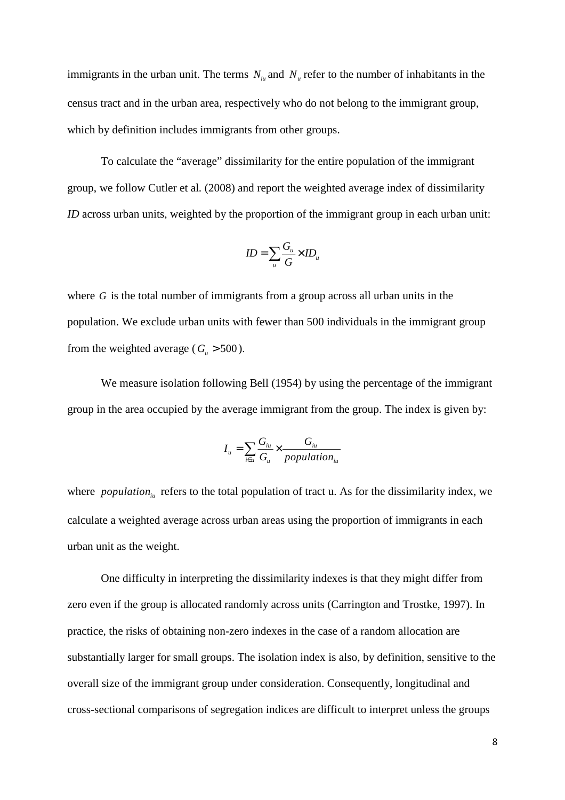immigrants in the urban unit. The terms  $N_{i\mu}$  and  $N_{\mu}$  refer to the number of inhabitants in the census tract and in the urban area, respectively who do not belong to the immigrant group, which by definition includes immigrants from other groups.

To calculate the "average" dissimilarity for the entire population of the immigrant group, we follow Cutler et al*.* (2008) and report the weighted average index of dissimilarity *ID* across urban units, weighted by the proportion of the immigrant group in each urban unit:

$$
ID = \sum_{u} \frac{G_u}{G} \times ID_u
$$

where *G* is the total number of immigrants from a group across all urban units in the population. We exclude urban units with fewer than 500 individuals in the immigrant group from the weighted average ( $G<sub>u</sub> > 500$ ).

We measure isolation following Bell (1954) by using the percentage of the immigrant group in the area occupied by the average immigrant from the group. The index is given by:

$$
I_{u} = \sum_{i \in u} \frac{G_{iu}}{G_{u}} \times \frac{G_{iu}}{population_{iu}}
$$

where *population*<sub>iu</sub> refers to the total population of tract u. As for the dissimilarity index, we calculate a weighted average across urban areas using the proportion of immigrants in each urban unit as the weight.

One difficulty in interpreting the dissimilarity indexes is that they might differ from zero even if the group is allocated randomly across units (Carrington and Trostke, 1997). In practice, the risks of obtaining non-zero indexes in the case of a random allocation are substantially larger for small groups. The isolation index is also, by definition, sensitive to the overall size of the immigrant group under consideration. Consequently, longitudinal and cross-sectional comparisons of segregation indices are difficult to interpret unless the groups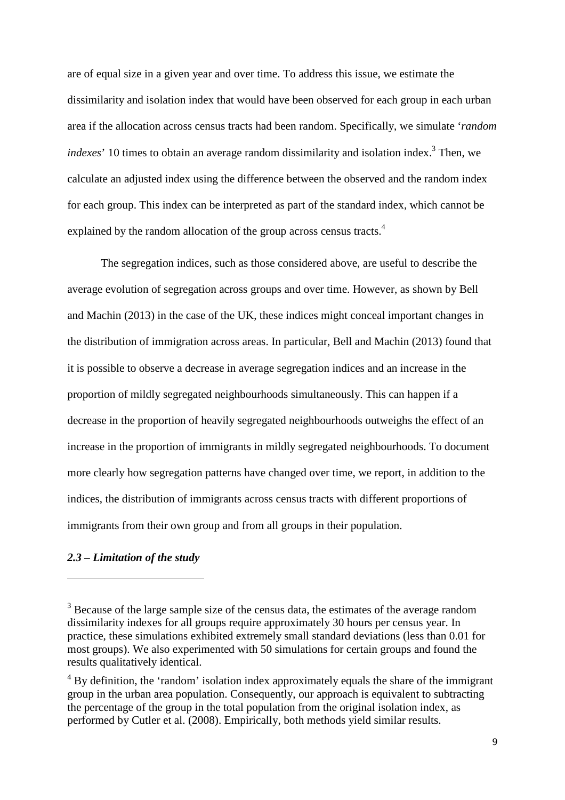are of equal size in a given year and over time. To address this issue, we estimate the dissimilarity and isolation index that would have been observed for each group in each urban area if the allocation across census tracts had been random. Specifically, we simulate '*random indexes*' 10 times to obtain an average random dissimilarity and isolation index.<sup>3</sup> Then, we calculate an adjusted index using the difference between the observed and the random index for each group. This index can be interpreted as part of the standard index, which cannot be explained by the random allocation of the group across census tracts.<sup>4</sup>

The segregation indices, such as those considered above, are useful to describe the average evolution of segregation across groups and over time. However, as shown by Bell and Machin (2013) in the case of the UK, these indices might conceal important changes in the distribution of immigration across areas. In particular, Bell and Machin (2013) found that it is possible to observe a decrease in average segregation indices and an increase in the proportion of mildly segregated neighbourhoods simultaneously. This can happen if a decrease in the proportion of heavily segregated neighbourhoods outweighs the effect of an increase in the proportion of immigrants in mildly segregated neighbourhoods. To document more clearly how segregation patterns have changed over time, we report, in addition to the indices, the distribution of immigrants across census tracts with different proportions of immigrants from their own group and from all groups in their population.

#### *2.3 – Limitation of the study*

 $\overline{a}$ 

 $3$  Because of the large sample size of the census data, the estimates of the average random dissimilarity indexes for all groups require approximately 30 hours per census year. In practice, these simulations exhibited extremely small standard deviations (less than 0.01 for most groups). We also experimented with 50 simulations for certain groups and found the results qualitatively identical.

<sup>&</sup>lt;sup>4</sup> By definition, the 'random' isolation index approximately equals the share of the immigrant group in the urban area population. Consequently, our approach is equivalent to subtracting the percentage of the group in the total population from the original isolation index, as performed by Cutler et al. (2008). Empirically, both methods yield similar results.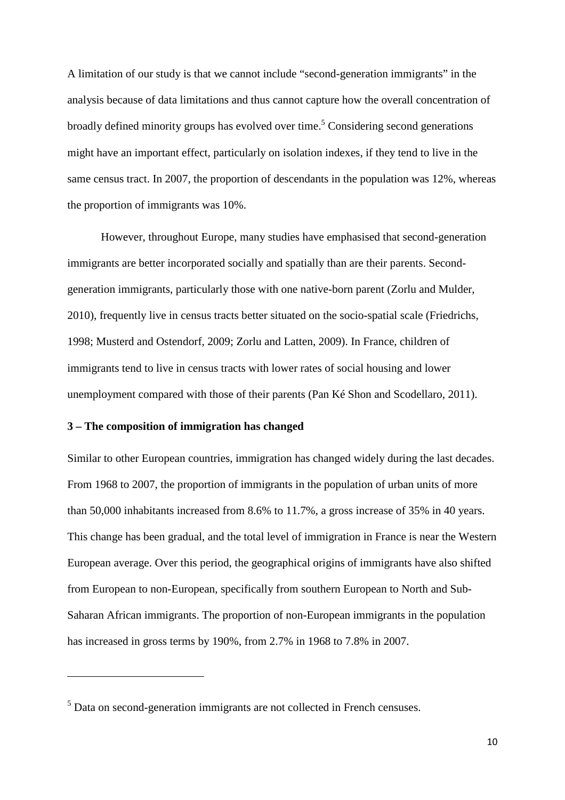A limitation of our study is that we cannot include "second-generation immigrants" in the analysis because of data limitations and thus cannot capture how the overall concentration of broadly defined minority groups has evolved over time.<sup>5</sup> Considering second generations might have an important effect, particularly on isolation indexes, if they tend to live in the same census tract. In 2007, the proportion of descendants in the population was 12%, whereas the proportion of immigrants was 10%.

However, throughout Europe, many studies have emphasised that second-generation immigrants are better incorporated socially and spatially than are their parents. Secondgeneration immigrants, particularly those with one native-born parent (Zorlu and Mulder, 2010), frequently live in census tracts better situated on the socio-spatial scale (Friedrichs, 1998; Musterd and Ostendorf, 2009; Zorlu and Latten, 2009). In France, children of immigrants tend to live in census tracts with lower rates of social housing and lower unemployment compared with those of their parents (Pan Ké Shon and Scodellaro, 2011).

#### **3 – The composition of immigration has changed**

 $\overline{a}$ 

Similar to other European countries, immigration has changed widely during the last decades. From 1968 to 2007, the proportion of immigrants in the population of urban units of more than 50,000 inhabitants increased from 8.6% to 11.7%, a gross increase of 35% in 40 years. This change has been gradual, and the total level of immigration in France is near the Western European average. Over this period, the geographical origins of immigrants have also shifted from European to non-European, specifically from southern European to North and Sub-Saharan African immigrants. The proportion of non-European immigrants in the population has increased in gross terms by 190%, from 2.7% in 1968 to 7.8% in 2007.

 $<sup>5</sup>$  Data on second-generation immigrants are not collected in French censuses.</sup>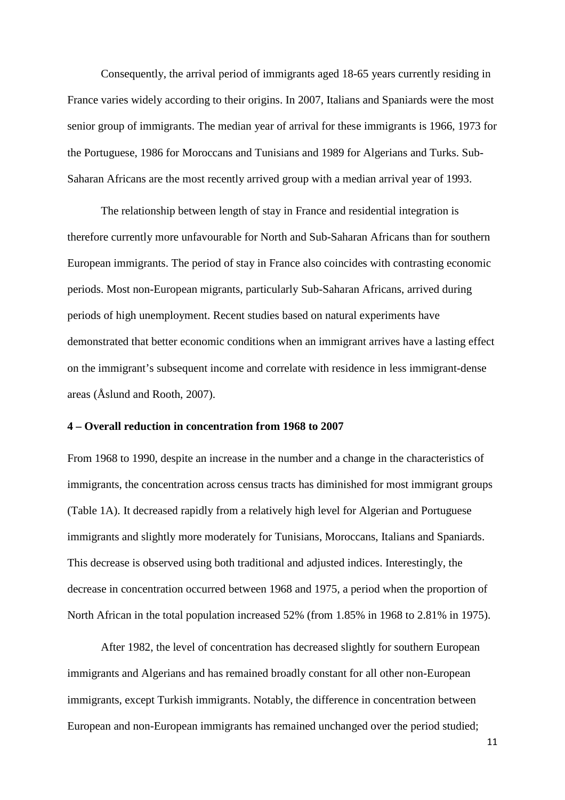Consequently, the arrival period of immigrants aged 18-65 years currently residing in France varies widely according to their origins. In 2007, Italians and Spaniards were the most senior group of immigrants. The median year of arrival for these immigrants is 1966, 1973 for the Portuguese, 1986 for Moroccans and Tunisians and 1989 for Algerians and Turks. Sub-Saharan Africans are the most recently arrived group with a median arrival year of 1993.

The relationship between length of stay in France and residential integration is therefore currently more unfavourable for North and Sub-Saharan Africans than for southern European immigrants. The period of stay in France also coincides with contrasting economic periods. Most non-European migrants, particularly Sub-Saharan Africans, arrived during periods of high unemployment. Recent studies based on natural experiments have demonstrated that better economic conditions when an immigrant arrives have a lasting effect on the immigrant's subsequent income and correlate with residence in less immigrant-dense areas (Åslund and Rooth, 2007).

#### **4 – Overall reduction in concentration from 1968 to 2007**

From 1968 to 1990, despite an increase in the number and a change in the characteristics of immigrants, the concentration across census tracts has diminished for most immigrant groups (Table 1A). It decreased rapidly from a relatively high level for Algerian and Portuguese immigrants and slightly more moderately for Tunisians, Moroccans, Italians and Spaniards. This decrease is observed using both traditional and adjusted indices. Interestingly, the decrease in concentration occurred between 1968 and 1975, a period when the proportion of North African in the total population increased 52% (from 1.85% in 1968 to 2.81% in 1975).

After 1982, the level of concentration has decreased slightly for southern European immigrants and Algerians and has remained broadly constant for all other non-European immigrants, except Turkish immigrants. Notably, the difference in concentration between European and non-European immigrants has remained unchanged over the period studied;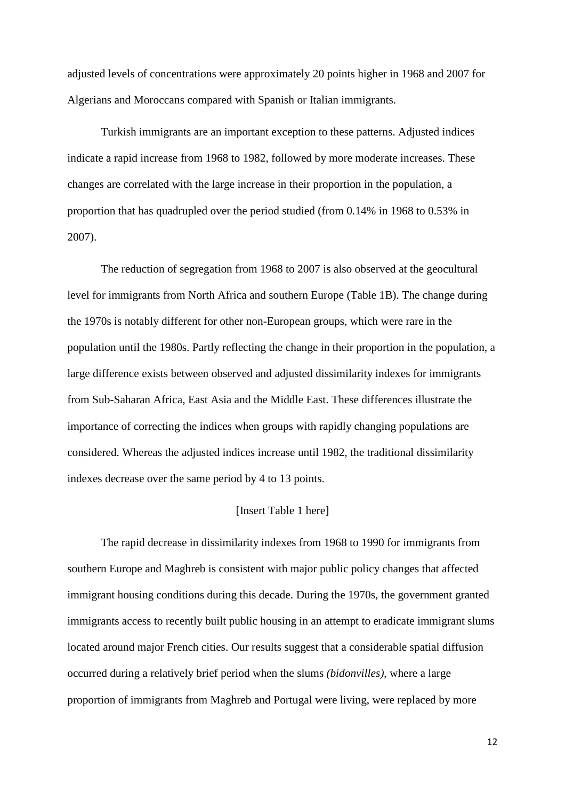adjusted levels of concentrations were approximately 20 points higher in 1968 and 2007 for Algerians and Moroccans compared with Spanish or Italian immigrants.

Turkish immigrants are an important exception to these patterns. Adjusted indices indicate a rapid increase from 1968 to 1982, followed by more moderate increases. These changes are correlated with the large increase in their proportion in the population, a proportion that has quadrupled over the period studied (from 0.14% in 1968 to 0.53% in 2007).

The reduction of segregation from 1968 to 2007 is also observed at the geocultural level for immigrants from North Africa and southern Europe (Table 1B). The change during the 1970s is notably different for other non-European groups, which were rare in the population until the 1980s. Partly reflecting the change in their proportion in the population, a large difference exists between observed and adjusted dissimilarity indexes for immigrants from Sub-Saharan Africa, East Asia and the Middle East. These differences illustrate the importance of correcting the indices when groups with rapidly changing populations are considered. Whereas the adjusted indices increase until 1982, the traditional dissimilarity indexes decrease over the same period by 4 to 13 points.

#### [Insert Table 1 here]

The rapid decrease in dissimilarity indexes from 1968 to 1990 for immigrants from southern Europe and Maghreb is consistent with major public policy changes that affected immigrant housing conditions during this decade. During the 1970s, the government granted immigrants access to recently built public housing in an attempt to eradicate immigrant slums located around major French cities. Our results suggest that a considerable spatial diffusion occurred during a relatively brief period when the slums *(bidonvilles)*, where a large proportion of immigrants from Maghreb and Portugal were living, were replaced by more

12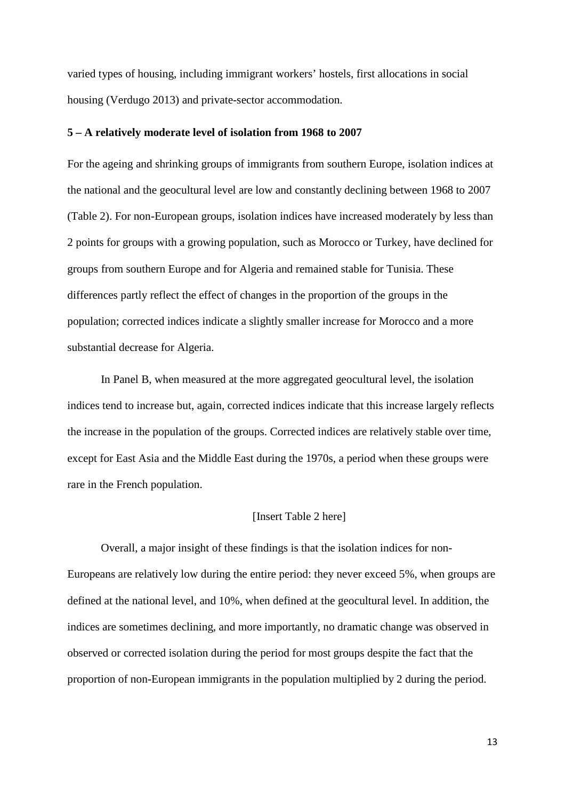varied types of housing, including immigrant workers' hostels, first allocations in social housing (Verdugo 2013) and private-sector accommodation.

#### **5 – A relatively moderate level of isolation from 1968 to 2007**

For the ageing and shrinking groups of immigrants from southern Europe, isolation indices at the national and the geocultural level are low and constantly declining between 1968 to 2007 (Table 2). For non-European groups, isolation indices have increased moderately by less than 2 points for groups with a growing population, such as Morocco or Turkey, have declined for groups from southern Europe and for Algeria and remained stable for Tunisia. These differences partly reflect the effect of changes in the proportion of the groups in the population; corrected indices indicate a slightly smaller increase for Morocco and a more substantial decrease for Algeria.

In Panel B, when measured at the more aggregated geocultural level, the isolation indices tend to increase but, again, corrected indices indicate that this increase largely reflects the increase in the population of the groups. Corrected indices are relatively stable over time, except for East Asia and the Middle East during the 1970s, a period when these groups were rare in the French population.

#### [Insert Table 2 here]

Overall, a major insight of these findings is that the isolation indices for non-Europeans are relatively low during the entire period: they never exceed 5%, when groups are defined at the national level, and 10%, when defined at the geocultural level. In addition, the indices are sometimes declining, and more importantly, no dramatic change was observed in observed or corrected isolation during the period for most groups despite the fact that the proportion of non-European immigrants in the population multiplied by 2 during the period.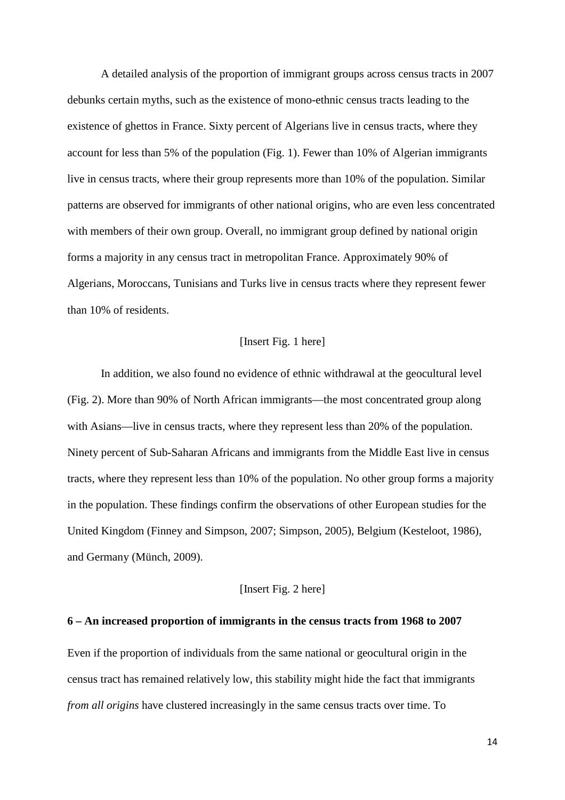A detailed analysis of the proportion of immigrant groups across census tracts in 2007 debunks certain myths, such as the existence of mono-ethnic census tracts leading to the existence of ghettos in France. Sixty percent of Algerians live in census tracts, where they account for less than 5% of the population (Fig. 1). Fewer than 10% of Algerian immigrants live in census tracts, where their group represents more than 10% of the population. Similar patterns are observed for immigrants of other national origins, who are even less concentrated with members of their own group. Overall, no immigrant group defined by national origin forms a majority in any census tract in metropolitan France. Approximately 90% of Algerians, Moroccans, Tunisians and Turks live in census tracts where they represent fewer than 10% of residents.

#### [Insert Fig. 1 here]

In addition, we also found no evidence of ethnic withdrawal at the geocultural level (Fig. 2). More than 90% of North African immigrants—the most concentrated group along with Asians—live in census tracts, where they represent less than 20% of the population. Ninety percent of Sub-Saharan Africans and immigrants from the Middle East live in census tracts, where they represent less than 10% of the population. No other group forms a majority in the population. These findings confirm the observations of other European studies for the United Kingdom (Finney and Simpson, 2007; Simpson, 2005), Belgium (Kesteloot, 1986), and Germany (Münch, 2009).

#### [Insert Fig. 2 here]

#### **6 – An increased proportion of immigrants in the census tracts from 1968 to 2007**

Even if the proportion of individuals from the same national or geocultural origin in the census tract has remained relatively low, this stability might hide the fact that immigrants *from all origins* have clustered increasingly in the same census tracts over time. To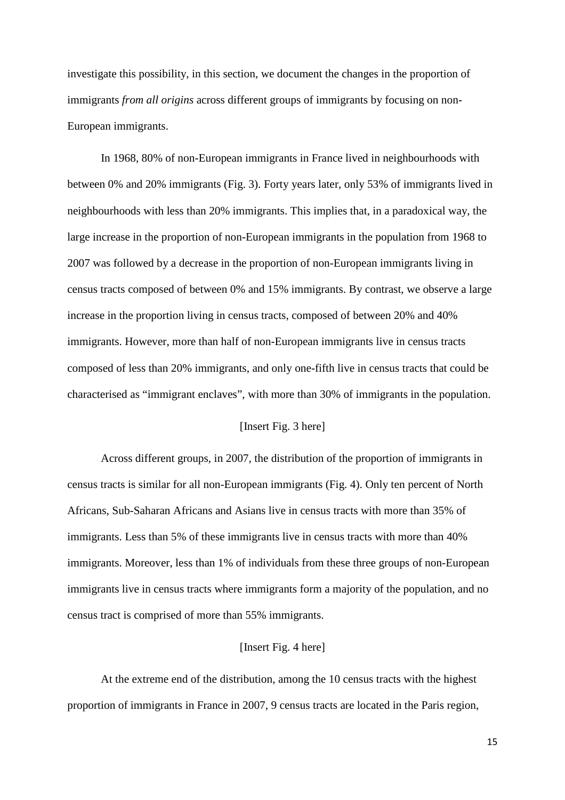investigate this possibility, in this section, we document the changes in the proportion of immigrants *from all origins* across different groups of immigrants by focusing on non-European immigrants.

In 1968, 80% of non-European immigrants in France lived in neighbourhoods with between 0% and 20% immigrants (Fig. 3). Forty years later, only 53% of immigrants lived in neighbourhoods with less than 20% immigrants. This implies that, in a paradoxical way, the large increase in the proportion of non-European immigrants in the population from 1968 to 2007 was followed by a decrease in the proportion of non-European immigrants living in census tracts composed of between 0% and 15% immigrants. By contrast, we observe a large increase in the proportion living in census tracts, composed of between 20% and 40% immigrants. However, more than half of non-European immigrants live in census tracts composed of less than 20% immigrants, and only one-fifth live in census tracts that could be characterised as "immigrant enclaves", with more than 30% of immigrants in the population.

#### [Insert Fig. 3 here]

Across different groups, in 2007, the distribution of the proportion of immigrants in census tracts is similar for all non-European immigrants (Fig. 4). Only ten percent of North Africans, Sub-Saharan Africans and Asians live in census tracts with more than 35% of immigrants. Less than 5% of these immigrants live in census tracts with more than 40% immigrants. Moreover, less than 1% of individuals from these three groups of non-European immigrants live in census tracts where immigrants form a majority of the population, and no census tract is comprised of more than 55% immigrants.

#### [Insert Fig. 4 here]

At the extreme end of the distribution, among the 10 census tracts with the highest proportion of immigrants in France in 2007, 9 census tracts are located in the Paris region,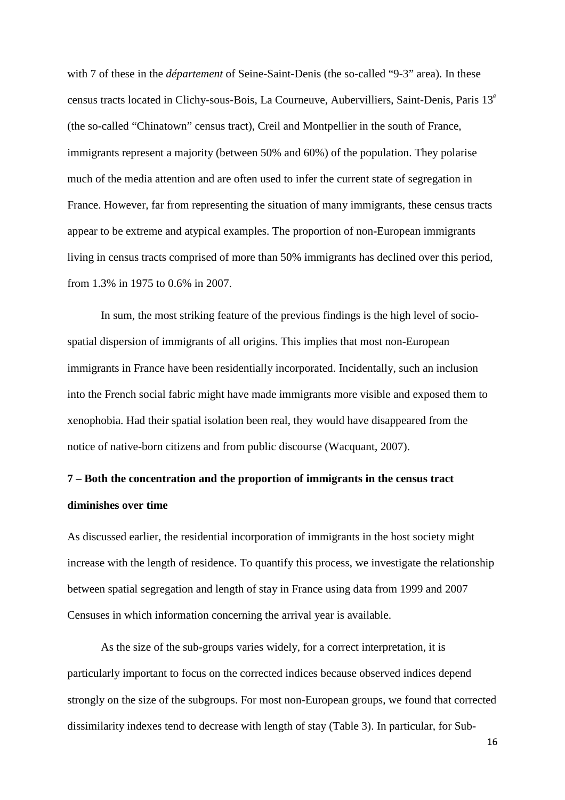with 7 of these in the *département* of Seine-Saint-Denis (the so-called "9-3" area). In these census tracts located in Clichy-sous-Bois, La Courneuve, Aubervilliers, Saint-Denis, Paris 13<sup>e</sup> (the so-called "Chinatown" census tract), Creil and Montpellier in the south of France, immigrants represent a majority (between 50% and 60%) of the population. They polarise much of the media attention and are often used to infer the current state of segregation in France. However, far from representing the situation of many immigrants, these census tracts appear to be extreme and atypical examples. The proportion of non-European immigrants living in census tracts comprised of more than 50% immigrants has declined over this period, from 1.3% in 1975 to 0.6% in 2007.

In sum, the most striking feature of the previous findings is the high level of sociospatial dispersion of immigrants of all origins. This implies that most non-European immigrants in France have been residentially incorporated. Incidentally, such an inclusion into the French social fabric might have made immigrants more visible and exposed them to xenophobia. Had their spatial isolation been real, they would have disappeared from the notice of native-born citizens and from public discourse (Wacquant, 2007).

# **7 – Both the concentration and the proportion of immigrants in the census tract diminishes over time**

As discussed earlier, the residential incorporation of immigrants in the host society might increase with the length of residence. To quantify this process, we investigate the relationship between spatial segregation and length of stay in France using data from 1999 and 2007 Censuses in which information concerning the arrival year is available.

As the size of the sub-groups varies widely, for a correct interpretation, it is particularly important to focus on the corrected indices because observed indices depend strongly on the size of the subgroups. For most non-European groups, we found that corrected dissimilarity indexes tend to decrease with length of stay (Table 3). In particular, for Sub-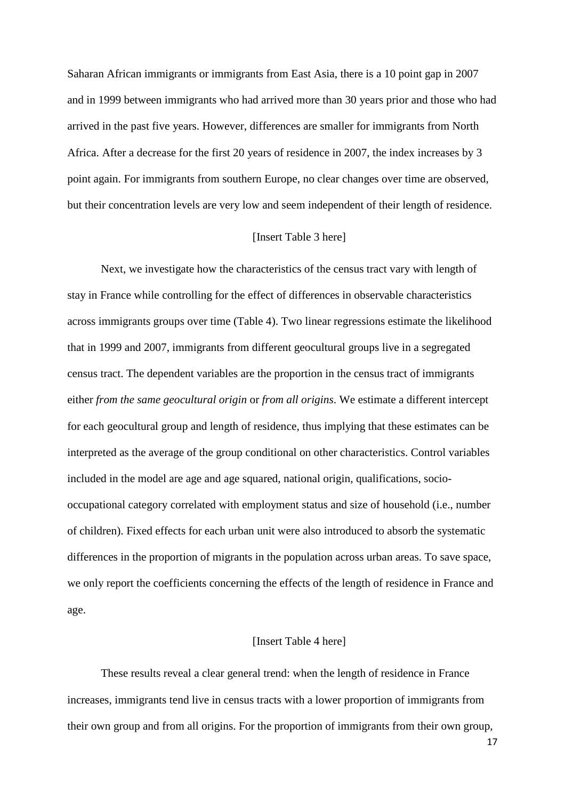Saharan African immigrants or immigrants from East Asia, there is a 10 point gap in 2007 and in 1999 between immigrants who had arrived more than 30 years prior and those who had arrived in the past five years. However, differences are smaller for immigrants from North Africa. After a decrease for the first 20 years of residence in 2007, the index increases by 3 point again. For immigrants from southern Europe, no clear changes over time are observed, but their concentration levels are very low and seem independent of their length of residence.

#### [Insert Table 3 here]

Next, we investigate how the characteristics of the census tract vary with length of stay in France while controlling for the effect of differences in observable characteristics across immigrants groups over time (Table 4). Two linear regressions estimate the likelihood that in 1999 and 2007, immigrants from different geocultural groups live in a segregated census tract. The dependent variables are the proportion in the census tract of immigrants either *from the same geocultural origin* or *from all origins*. We estimate a different intercept for each geocultural group and length of residence, thus implying that these estimates can be interpreted as the average of the group conditional on other characteristics. Control variables included in the model are age and age squared, national origin, qualifications, sociooccupational category correlated with employment status and size of household (i.e., number of children). Fixed effects for each urban unit were also introduced to absorb the systematic differences in the proportion of migrants in the population across urban areas. To save space, we only report the coefficients concerning the effects of the length of residence in France and age.

#### [Insert Table 4 here]

These results reveal a clear general trend: when the length of residence in France increases, immigrants tend live in census tracts with a lower proportion of immigrants from their own group and from all origins. For the proportion of immigrants from their own group,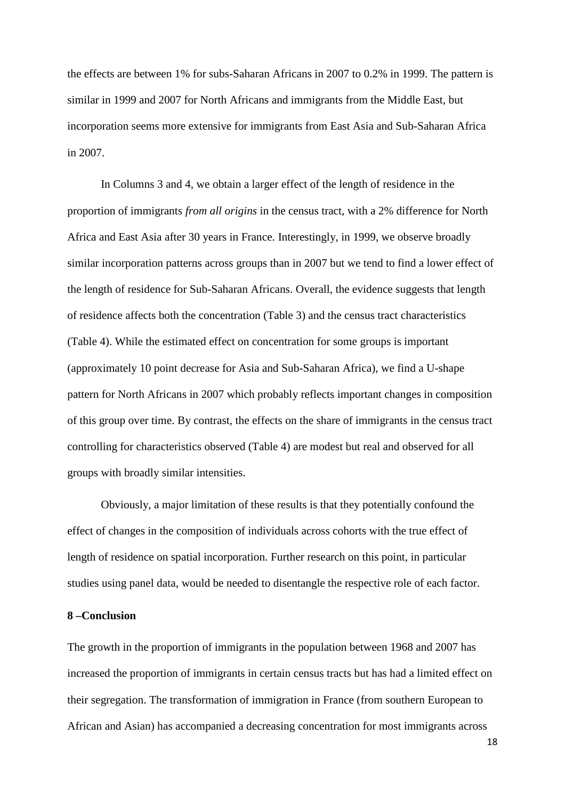the effects are between 1% for subs-Saharan Africans in 2007 to 0.2% in 1999. The pattern is similar in 1999 and 2007 for North Africans and immigrants from the Middle East, but incorporation seems more extensive for immigrants from East Asia and Sub-Saharan Africa in 2007.

In Columns 3 and 4, we obtain a larger effect of the length of residence in the proportion of immigrants *from all origins* in the census tract, with a 2% difference for North Africa and East Asia after 30 years in France. Interestingly, in 1999, we observe broadly similar incorporation patterns across groups than in 2007 but we tend to find a lower effect of the length of residence for Sub-Saharan Africans. Overall, the evidence suggests that length of residence affects both the concentration (Table 3) and the census tract characteristics (Table 4). While the estimated effect on concentration for some groups is important (approximately 10 point decrease for Asia and Sub-Saharan Africa), we find a U-shape pattern for North Africans in 2007 which probably reflects important changes in composition of this group over time. By contrast, the effects on the share of immigrants in the census tract controlling for characteristics observed (Table 4) are modest but real and observed for all groups with broadly similar intensities.

Obviously, a major limitation of these results is that they potentially confound the effect of changes in the composition of individuals across cohorts with the true effect of length of residence on spatial incorporation. Further research on this point, in particular studies using panel data, would be needed to disentangle the respective role of each factor.

#### **8 –Conclusion**

The growth in the proportion of immigrants in the population between 1968 and 2007 has increased the proportion of immigrants in certain census tracts but has had a limited effect on their segregation. The transformation of immigration in France (from southern European to African and Asian) has accompanied a decreasing concentration for most immigrants across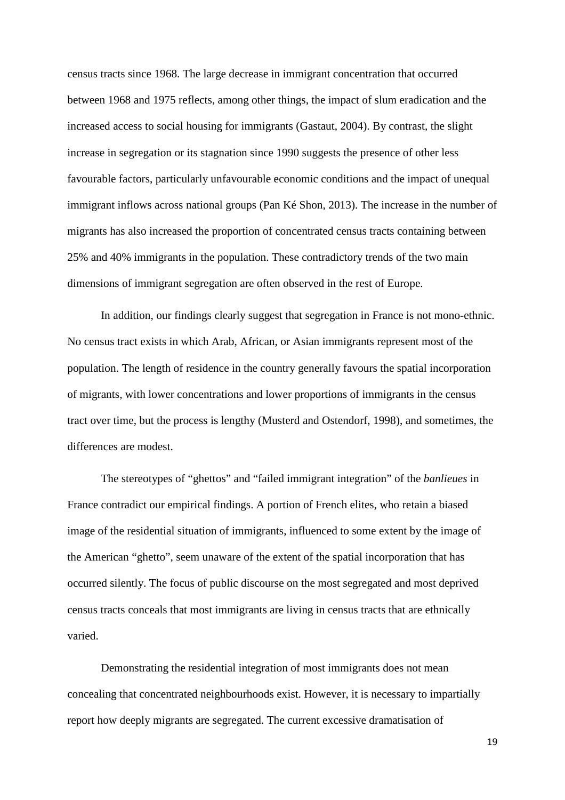census tracts since 1968. The large decrease in immigrant concentration that occurred between 1968 and 1975 reflects, among other things, the impact of slum eradication and the increased access to social housing for immigrants (Gastaut, 2004). By contrast, the slight increase in segregation or its stagnation since 1990 suggests the presence of other less favourable factors, particularly unfavourable economic conditions and the impact of unequal immigrant inflows across national groups (Pan Ké Shon, 2013). The increase in the number of migrants has also increased the proportion of concentrated census tracts containing between 25% and 40% immigrants in the population. These contradictory trends of the two main dimensions of immigrant segregation are often observed in the rest of Europe.

In addition, our findings clearly suggest that segregation in France is not mono-ethnic. No census tract exists in which Arab, African, or Asian immigrants represent most of the population. The length of residence in the country generally favours the spatial incorporation of migrants, with lower concentrations and lower proportions of immigrants in the census tract over time, but the process is lengthy (Musterd and Ostendorf, 1998), and sometimes, the differences are modest.

The stereotypes of "ghettos" and "failed immigrant integration" of the *banlieues* in France contradict our empirical findings. A portion of French elites, who retain a biased image of the residential situation of immigrants, influenced to some extent by the image of the American "ghetto", seem unaware of the extent of the spatial incorporation that has occurred silently. The focus of public discourse on the most segregated and most deprived census tracts conceals that most immigrants are living in census tracts that are ethnically varied.

Demonstrating the residential integration of most immigrants does not mean concealing that concentrated neighbourhoods exist. However, it is necessary to impartially report how deeply migrants are segregated. The current excessive dramatisation of

19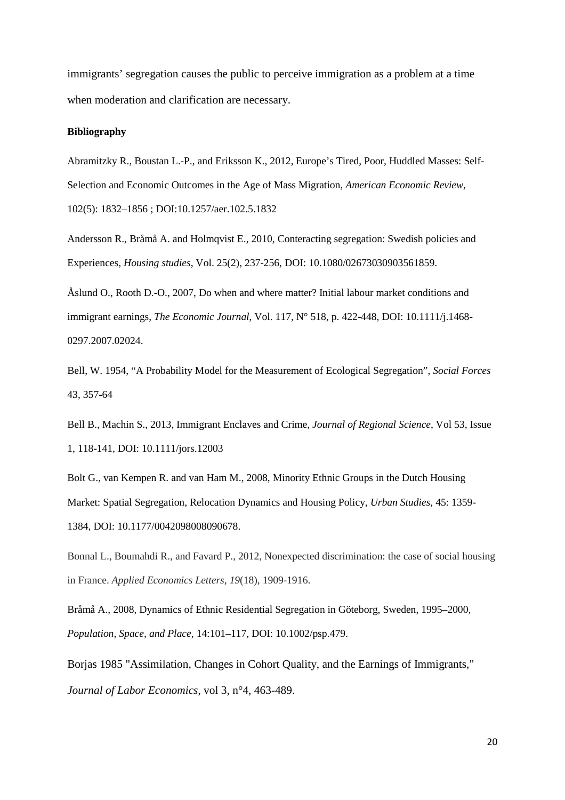immigrants' segregation causes the public to perceive immigration as a problem at a time when moderation and clarification are necessary.

#### **Bibliography**

Abramitzky R., Boustan L.-P., and Eriksson K., 2012, Europe's Tired, Poor, Huddled Masses: Self-Selection and Economic Outcomes in the Age of Mass Migration, *American Economic Review*, 102(5): 1832–1856 ; DOI:10.1257/aer.102.5.1832

Andersson R., Bråmå A. and Holmqvist E., 2010, Conteracting segregation: Swedish policies and Experiences, *Housing studies*, Vol. 25(2), 237-256, DOI: 10.1080/02673030903561859.

Åslund O., Rooth D.-O., 2007, Do when and where matter? Initial labour market conditions and immigrant earnings, *The Economic Journal*, Vol. 117, N° 518, p. 422-448, DOI: 10.1111/j.1468- 0297.2007.02024.

Bell, W. 1954, "A Probability Model for the Measurement of Ecological Segregation", *Social Forces* 43, 357-64

Bell B., Machin S., 2013, Immigrant Enclaves and Crime, *Journal of Regional Science*, Vol 53, Issue 1, 118-141, DOI: 10.1111/jors.12003

Bolt G., van Kempen R. and van Ham M., 2008, Minority Ethnic Groups in the Dutch Housing Market: Spatial Segregation, Relocation Dynamics and Housing Policy, *Urban Studies*, 45: 1359- 1384, DOI: 10.1177/0042098008090678.

Bonnal L., Boumahdi R., and Favard P., 2012, Nonexpected discrimination: the case of social housing in France. *Applied Economics Letters*, *19*(18), 1909-1916.

Bråmå A., 2008, Dynamics of Ethnic Residential Segregation in Göteborg, Sweden, 1995–2000, *Population, Space, and Place*, 14:101–117, DOI: 10.1002/psp.479.

Borjas 1985 "Assimilation, Changes in Cohort Quality, and the Earnings of Immigrants," *Journal of Labor Economics*, vol 3, n°4, 463-489.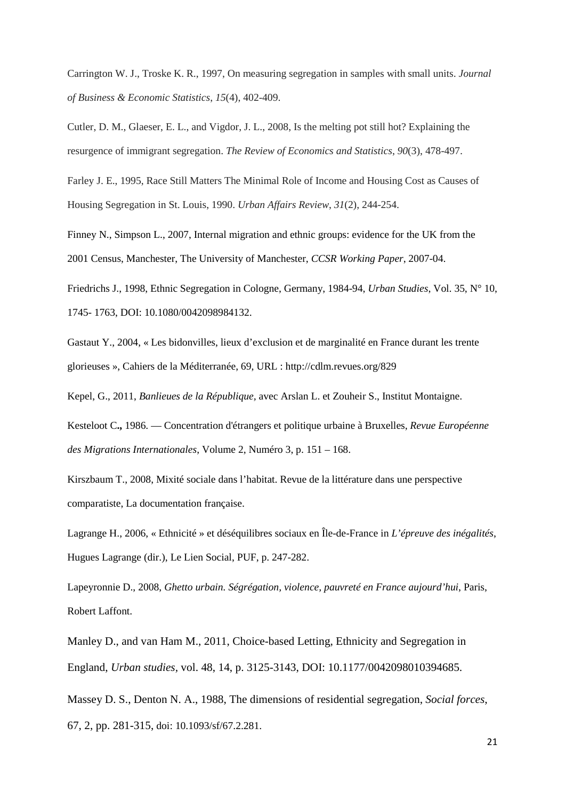Carrington W. J., Troske K. R., 1997, On measuring segregation in samples with small units. *Journal of Business & Economic Statistics*, *15*(4), 402-409.

Cutler, D. M., Glaeser, E. L., and Vigdor, J. L., 2008, Is the melting pot still hot? Explaining the resurgence of immigrant segregation. *The Review of Economics and Statistics*, *90*(3), 478-497.

Farley J. E., 1995, Race Still Matters The Minimal Role of Income and Housing Cost as Causes of Housing Segregation in St. Louis, 1990. *Urban Affairs Review*, *31*(2), 244-254.

Finney N., Simpson L., 2007, Internal migration and ethnic groups: evidence for the UK from the 2001 Census, Manchester, The University of Manchester, *CCSR Working Paper*, 2007-04.

Friedrichs J., 1998, Ethnic Segregation in Cologne, Germany, 1984-94, *Urban Studies*, Vol. 35, N° 10, 1745- 1763, DOI: 10.1080/0042098984132.

Gastaut Y., 2004, « Les bidonvilles, lieux d'exclusion et de marginalité en France durant les trente glorieuses », Cahiers de la Méditerranée, 69, URL : http://cdlm.revues.org/829

Kepel, G., 2011, *Banlieues de la République,* avec Arslan L. et Zouheir S., Institut Montaigne.

Kesteloot C**.,** 1986. — Concentration d'étrangers et politique urbaine à Bruxelles, *Revue Européenne des Migrations Internationales*, Volume 2, Numéro 3, p. 151 – 168.

Kirszbaum T., 2008, Mixité sociale dans l'habitat. Revue de la littérature dans une perspective comparatiste, La documentation française.

Lagrange H., 2006, « Ethnicité » et déséquilibres sociaux en Île-de-France in *L'épreuve des inégalités*, Hugues Lagrange (dir.), Le Lien Social, PUF, p. 247-282.

Lapeyronnie D., 2008, *Ghetto urbain. Ségrégation, violence, pauvreté en France aujourd'hui*, Paris, Robert Laffont.

Manley D., and van Ham M., 2011, Choice-based Letting, Ethnicity and Segregation in England, *Urban studies,* vol. 48, 14, p. 3125-3143, DOI: 10.1177/0042098010394685.

Massey D. S., Denton N. A., 1988, The dimensions of residential segregation, *Social forces*, 67, 2, pp. 281-315, doi: 10.1093/sf/67.2.281.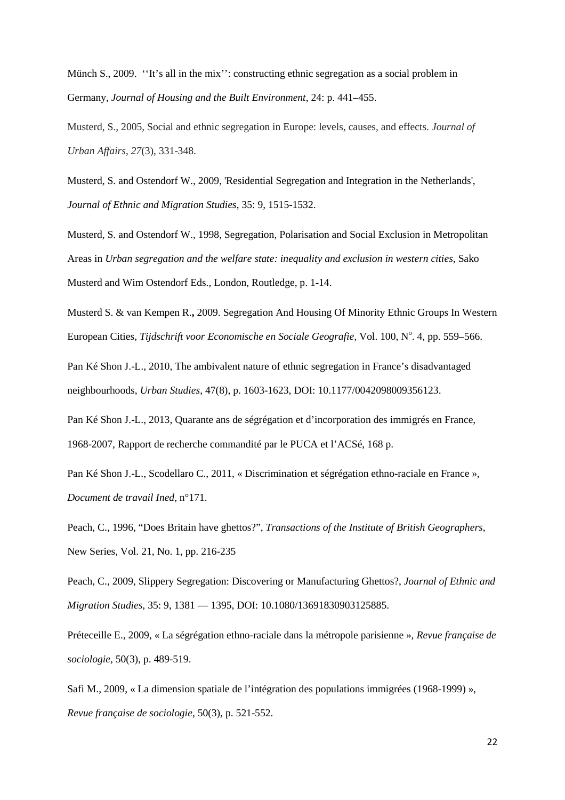Münch S., 2009. ''It's all in the mix'': constructing ethnic segregation as a social problem in Germany, *Journal of Housing and the Built Environment*, 24: p. 441–455.

Musterd, S., 2005, Social and ethnic segregation in Europe: levels, causes, and effects. *Journal of Urban Affairs*, *27*(3), 331-348.

Musterd, S. and Ostendorf W., 2009, 'Residential Segregation and Integration in the Netherlands', *Journal of Ethnic and Migration Studies*, 35: 9, 1515-1532.

Musterd, S. and Ostendorf W., 1998, Segregation, Polarisation and Social Exclusion in Metropolitan Areas in *Urban segregation and the welfare state: inequality and exclusion in western cities*, Sako Musterd and Wim Ostendorf Eds., London, Routledge, p. 1-14.

Musterd S. & van Kempen R.**,** 2009. Segregation And Housing Of Minority Ethnic Groups In Western European Cities, *Tijdschrift voor Economische en Sociale Geografie*, Vol. 100, N<sup>o</sup>. 4, pp. 559–566.

Pan Ké Shon J.-L., 2010, The ambivalent nature of ethnic segregation in France's disadvantaged neighbourhoods, *Urban Studies*, 47(8), p. 1603-1623, DOI: 10.1177/0042098009356123.

Pan Ké Shon J.-L., 2013, Quarante ans de ségrégation et d'incorporation des immigrés en France, 1968-2007, Rapport de recherche commandité par le PUCA et l'ACSé, 168 p.

Pan Ké Shon J.-L., Scodellaro C., 2011, « Discrimination et ségrégation ethno-raciale en France », *Document de travail Ined*, n°171.

Peach, C., 1996, "Does Britain have ghettos?", *Transactions of the Institute of British Geographers*, New Series, Vol. 21, No. 1, pp. 216-235

Peach, C., 2009, Slippery Segregation: Discovering or Manufacturing Ghettos?, *Journal of Ethnic and Migration Studies*, 35: 9, 1381 — 1395, DOI: 10.1080/13691830903125885.

Préteceille E., 2009, « La ségrégation ethno-raciale dans la métropole parisienne », *Revue française de sociologie,* 50(3), p. 489-519.

Safi M., 2009, « La dimension spatiale de l'intégration des populations immigrées (1968-1999) », *Revue française de sociologie*, 50(3), p. 521-552.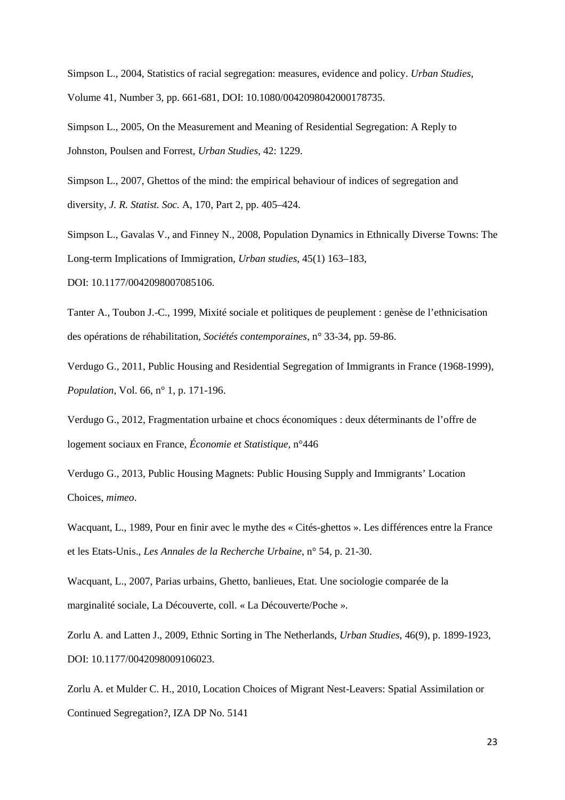Simpson L., 2004, Statistics of racial segregation: measures, evidence and policy. *Urban Studies*, Volume 41, Number 3, pp. 661-681, DOI: 10.1080/0042098042000178735.

Simpson L., 2005, On the Measurement and Meaning of Residential Segregation: A Reply to Johnston, Poulsen and Forrest, *Urban Studies,* 42: 1229.

Simpson L., 2007, Ghettos of the mind: the empirical behaviour of indices of segregation and diversity, *J. R. Statist. Soc.* A, 170, Part 2, pp. 405–424.

Simpson L., Gavalas V., and Finney N., 2008, Population Dynamics in Ethnically Diverse Towns: The Long-term Implications of Immigration, *Urban studies*, 45(1) 163–183,

DOI: 10.1177/0042098007085106.

Tanter A., Toubon J.-C., 1999, Mixité sociale et politiques de peuplement : genèse de l'ethnicisation des opérations de réhabilitation, *Sociétés contemporaines*, n° 33-34, pp. 59-86.

Verdugo G., 2011, Public Housing and Residential Segregation of Immigrants in France (1968-1999), *Population*, Vol. 66, n° 1, p. 171-196.

Verdugo G., 2012, Fragmentation urbaine et chocs économiques : deux déterminants de l'offre de logement sociaux en France, *Économie et Statistique*, n°446

Verdugo G., 2013, Public Housing Magnets: Public Housing Supply and Immigrants' Location Choices, *mimeo*.

Wacquant, L., 1989, Pour en finir avec le mythe des « Cités-ghettos ». Les différences entre la France et les Etats-Unis., *Les Annales de la Recherche Urbaine*, n° 54, p. 21-30.

Wacquant, L., 2007, Parias urbains, Ghetto, banlieues, Etat. Une sociologie comparée de la marginalité sociale, La Découverte, coll. « La Découverte/Poche ».

Zorlu A. and Latten J., 2009, Ethnic Sorting in The Netherlands, *Urban Studies*, 46(9), p. 1899-1923, DOI: 10.1177/0042098009106023.

Zorlu A. et Mulder C. H., 2010, Location Choices of Migrant Nest-Leavers: Spatial Assimilation or Continued Segregation?, IZA DP No. 5141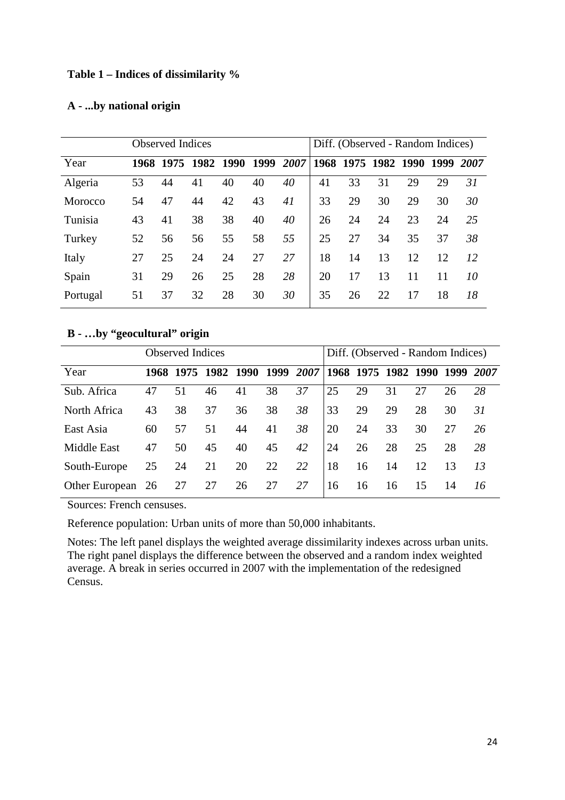#### **Table 1 – Indices of dissimilarity %**

#### **A - ...by national origin**

|          | <b>Observed Indices</b> |           |      |      |      |      |    | Diff. (Observed - Random Indices) |    |      |      |      |  |  |
|----------|-------------------------|-----------|------|------|------|------|----|-----------------------------------|----|------|------|------|--|--|
| Year     |                         | 1968 1975 | 1982 | 1990 | 1999 | 2007 |    | 1968 1975 1982                    |    | 1990 | 1999 | 2007 |  |  |
| Algeria  | 53                      | 44        | 41   | 40   | 40   | 40   | 41 | 33                                | 31 | 29   | 29   | 31   |  |  |
| Morocco  | 54                      | 47        | 44   | 42   | 43   | 41   | 33 | 29                                | 30 | 29   | 30   | 30   |  |  |
| Tunisia  | 43                      | 41        | 38   | 38   | 40   | 40   | 26 | 24                                | 24 | 23   | 24   | 25   |  |  |
| Turkey   | 52                      | 56        | 56   | 55   | 58   | 55   | 25 | 27                                | 34 | 35   | 37   | 38   |  |  |
| Italy    | 27                      | 25        | 24   | 24   | 27   | 27   | 18 | 14                                | 13 | 12   | 12   | 12   |  |  |
| Spain    | 31                      | 29        | 26   | 25   | 28   | 28   | 20 | 17                                | 13 | 11   | 11   | 10   |  |  |
| Portugal | 51                      | 37        | 32   | 28   | 30   | 30   | 35 | 26                                | 22 | 17   | 18   | 18   |  |  |

### **B - …by "geocultural" origin**

|                    |    | <b>Observed Indices</b> |                     |    |      | Diff. (Observed - Random Indices)  |    |    |    |    |    |    |
|--------------------|----|-------------------------|---------------------|----|------|------------------------------------|----|----|----|----|----|----|
| Year               |    |                         | 1968 1975 1982 1990 |    | 1999 | 2007 1968 1975 1982 1990 1999 2007 |    |    |    |    |    |    |
| Sub. Africa        | 47 | 51                      | 46                  | 41 | 38   | 37                                 | 25 | 29 | 31 | 27 | 26 | 28 |
| North Africa       | 43 | 38                      | 37                  | 36 | 38   | 38                                 | 33 | 29 | 29 | 28 | 30 | 31 |
| East Asia          | 60 | 57                      | 51                  | 44 | 41   | 38                                 | 20 | 24 | 33 | 30 | 27 | 26 |
| <b>Middle East</b> | 47 | 50                      | 45                  | 40 | 45   | 42                                 | 24 | 26 | 28 | 25 | 28 | 28 |
| South-Europe       | 25 | 24                      | 21                  | 20 | 22   | 22                                 | 18 | 16 | 14 | 12 | 13 | 13 |
| Other European 26  |    | 27                      | 27                  | 26 | 27   | 27                                 | 16 | 16 | 16 | 15 | 14 | 16 |

Sources: French censuses.

Reference population: Urban units of more than 50,000 inhabitants.

Notes: The left panel displays the weighted average dissimilarity indexes across urban units. The right panel displays the difference between the observed and a random index weighted average. A break in series occurred in 2007 with the implementation of the redesigned Census.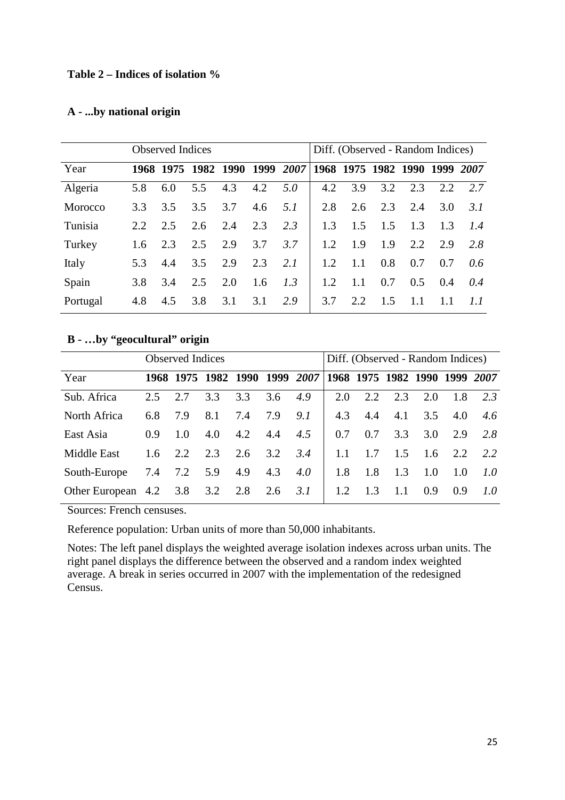#### **Table 2 – Indices of isolation %**

#### **A - ...by national origin**

|          | <b>Observed Indices</b> |     |                                                   |     |     |     |     | Diff. (Observed - Random Indices) |     |        |           |                  |  |  |
|----------|-------------------------|-----|---------------------------------------------------|-----|-----|-----|-----|-----------------------------------|-----|--------|-----------|------------------|--|--|
| Year     |                         |     | 1968 1975 1982 1990 1999 2007 1968 1975 1982 1990 |     |     |     |     |                                   |     |        | 1999 2007 |                  |  |  |
| Algeria  | 5.8                     | 6.0 | 5.5                                               | 4.3 | 4.2 | 5.0 | 4.2 | 3.9                               | 3.2 | 2.3    | 2.2       | 2.7              |  |  |
| Morocco  | 3.3                     | 3.5 | 3.5                                               | 3.7 | 4.6 | 5.1 | 2.8 | 2.6                               | 2.3 | 2.4    | 3.0       | 3.1              |  |  |
| Tunisia  | 2.2                     | 2.5 | 2.6                                               | 2.4 | 2.3 | 2.3 | 1.3 | 1.5                               | 1.5 | 1.3    | 1.3       | 1.4              |  |  |
| Turkey   | $1.6^{\circ}$           | 2.3 | 2.5                                               | 2.9 | 3.7 | 3.7 | 1.2 | 1.9                               | 1.9 | 2.2    | 2.9       | 2.8              |  |  |
| Italy    | 5.3                     | 4.4 | 3.5                                               | 2.9 | 2.3 | 2.1 | 1.2 | 1.1                               | 0.8 | 0.7    | 0.7       | 0.6 <sup>1</sup> |  |  |
| Spain    | 3.8                     | 3.4 | 2.5                                               | 2.0 | 1.6 | 1.3 | 1.2 | 1.1                               | 0.7 | 0.5    | 0.4       | 0.4              |  |  |
| Portugal | 4.8                     | 4.5 | 3.8                                               | 3.1 | 3.1 | 2.9 | 3.7 | 2.2.                              | 1.5 | $1\;1$ | 1.1       | 1.1              |  |  |

### **B - …by "geocultural" origin**

|                                |             | <b>Observed Indices</b> |         |     |     | Diff. (Observed - Random Indices)                           |     |     |     |     |                |     |
|--------------------------------|-------------|-------------------------|---------|-----|-----|-------------------------------------------------------------|-----|-----|-----|-----|----------------|-----|
| Year                           |             |                         |         |     |     | 1968 1975 1982 1990 1999 2007 1968 1975 1982 1990 1999 2007 |     |     |     |     |                |     |
| Sub. Africa                    | 2.5         | 2.7                     | 3.3     | 3.3 | 3.6 | 4.9                                                         | 2.0 | 2.2 | 2.3 | 2.0 | 1.8            | 2.3 |
| North Africa                   | 6.8         | 7.9                     | 8.1     | 7.4 | 7.9 | 9.1                                                         | 4.3 | 4.4 | 4.1 | 3.5 | 4.0            | 4.6 |
| East Asia                      | 0.9         | 1.0                     | 4.0     | 4.2 | 4.4 | 4.5                                                         | 0.7 | 0.7 | 3.3 |     | $3.0\quad 2.9$ | 2.8 |
| Middle East                    | $1.6 \t2.2$ |                         | 2.3     | 2.6 | 3.2 | 3.4                                                         | 1.1 | 1.7 | 1.5 |     | $1.6$ 2.2      | 2.2 |
| South-Europe                   | 7.4         |                         | 7.2 5.9 | 4.9 | 4.3 | 4.0                                                         | 1.8 | 1.8 | 1.3 | 1.0 | 1.0            | 1.0 |
| Other European 4.2 3.8 3.2 2.8 |             |                         |         |     | 2.6 | 3.1                                                         | 1.2 | 1.3 | 1.1 | 0.9 | 0.9            | 1.0 |

Sources: French censuses.

Reference population: Urban units of more than 50,000 inhabitants.

Notes: The left panel displays the weighted average isolation indexes across urban units. The right panel displays the difference between the observed and a random index weighted average. A break in series occurred in 2007 with the implementation of the redesigned Census.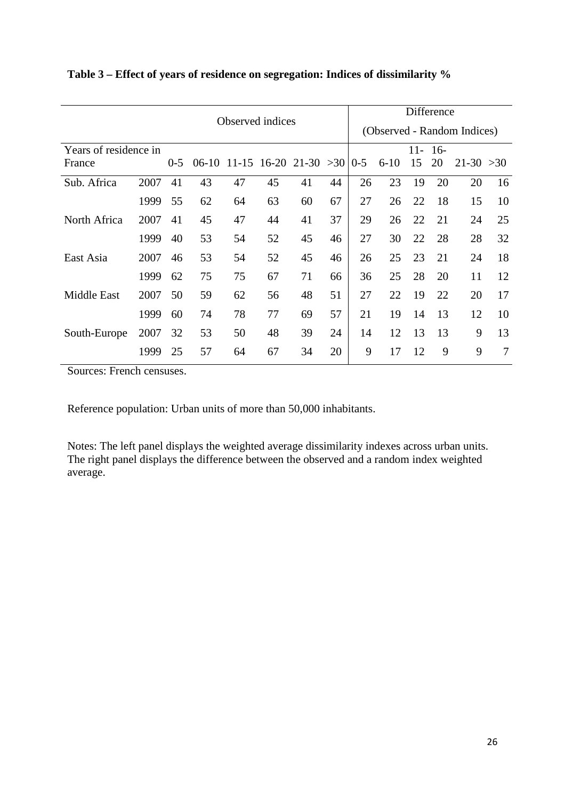|                       | Difference                  |         |         |    |                          |    |    |         |          |     |       |              |    |
|-----------------------|-----------------------------|---------|---------|----|--------------------------|----|----|---------|----------|-----|-------|--------------|----|
|                       | (Observed - Random Indices) |         |         |    |                          |    |    |         |          |     |       |              |    |
| Years of residence in |                             |         |         |    |                          |    |    |         |          | 11- | $16-$ |              |    |
| France                |                             | $0 - 5$ | $06-10$ |    | $11-15$ 16-20 21-30 > 30 |    |    | $0 - 5$ | $6 - 10$ | 15  | 20    | $21-30 > 30$ |    |
| Sub. Africa           | 2007                        | 41      | 43      | 47 | 45                       | 41 | 44 | 26      | 23       | 19  | 20    | 20           | 16 |
|                       | 1999                        | 55      | 62      | 64 | 63                       | 60 | 67 | 27      | 26       | 22  | 18    | 15           | 10 |
| North Africa          | 2007                        | 41      | 45      | 47 | 44                       | 41 | 37 | 29      | 26       | 22  | 21    | 24           | 25 |
|                       | 1999                        | 40      | 53      | 54 | 52                       | 45 | 46 | 27      | 30       | 22  | 28    | 28           | 32 |
| East Asia             | 2007                        | 46      | 53      | 54 | 52                       | 45 | 46 | 26      | 25       | 23  | 21    | 24           | 18 |
|                       | 1999                        | 62      | 75      | 75 | 67                       | 71 | 66 | 36      | 25       | 28  | 20    | 11           | 12 |
| <b>Middle East</b>    | 2007                        | 50      | 59      | 62 | 56                       | 48 | 51 | 27      | 22       | 19  | 22    | 20           | 17 |
|                       | 1999                        | 60      | 74      | 78 | 77                       | 69 | 57 | 21      | 19       | 14  | 13    | 12           | 10 |
| South-Europe          | 2007                        | 32      | 53      | 50 | 48                       | 39 | 24 | 14      | 12       | 13  | 13    | 9            | 13 |
|                       | 1999                        | 25      | 57      | 64 | 67                       | 34 | 20 | 9       | 17       | 12  | 9     | 9            | 7  |

**Table 3 – Effect of years of residence on segregation: Indices of dissimilarity %**

Sources: French censuses.

Reference population: Urban units of more than 50,000 inhabitants.

Notes: The left panel displays the weighted average dissimilarity indexes across urban units. The right panel displays the difference between the observed and a random index weighted average.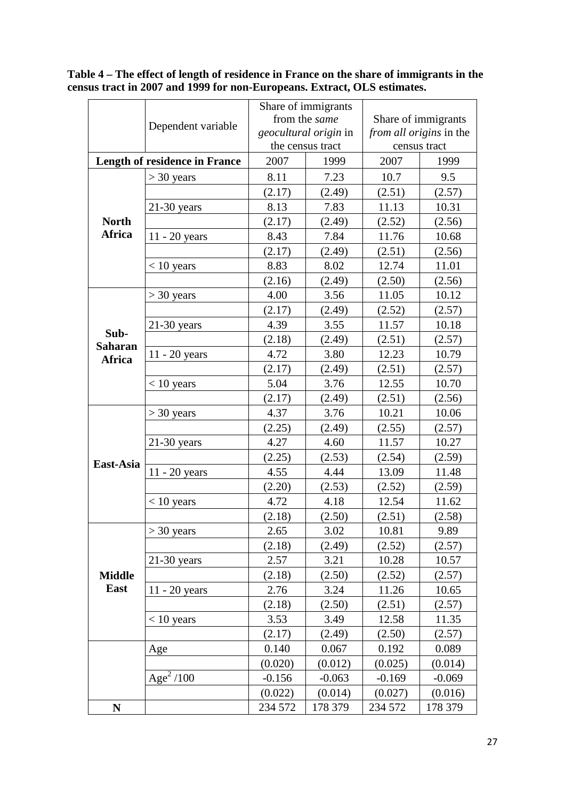|                        |                                      |          | Share of immigrants   |                         |              |  |  |
|------------------------|--------------------------------------|----------|-----------------------|-------------------------|--------------|--|--|
|                        | Dependent variable                   |          | from the same         | Share of immigrants     |              |  |  |
|                        |                                      |          | geocultural origin in | from all origins in the |              |  |  |
|                        |                                      |          | the census tract      |                         | census tract |  |  |
|                        | <b>Length of residence in France</b> | 2007     | 1999                  | 2007                    | 1999         |  |  |
|                        | $>$ 30 years                         | 8.11     | 7.23                  | 10.7                    | 9.5          |  |  |
|                        |                                      | (2.17)   | (2.49)                | (2.51)                  | (2.57)       |  |  |
|                        | $21-30$ years                        | 8.13     | 7.83                  | 11.13                   | 10.31        |  |  |
| <b>North</b>           |                                      | (2.17)   | (2.49)                | (2.52)                  | (2.56)       |  |  |
| Africa                 | $11 - 20$ years                      | 8.43     | 7.84                  | 11.76                   | 10.68        |  |  |
|                        |                                      | (2.17)   | (2.49)                | (2.51)                  | (2.56)       |  |  |
|                        | $< 10$ years                         | 8.83     | 8.02                  | 12.74                   | 11.01        |  |  |
|                        |                                      | (2.16)   | (2.49)                | (2.50)                  | (2.56)       |  |  |
|                        | $>$ 30 years                         | 4.00     | 3.56                  | 11.05                   | 10.12        |  |  |
|                        |                                      | (2.17)   | (2.49)                | (2.52)                  | (2.57)       |  |  |
|                        | $21-30$ years                        | 4.39     | 3.55                  | 11.57                   | 10.18        |  |  |
| Sub-<br><b>Saharan</b> |                                      | (2.18)   | (2.49)                | (2.51)                  | (2.57)       |  |  |
| Africa                 | $11 - 20$ years                      | 4.72     | 3.80                  | 12.23                   | 10.79        |  |  |
|                        |                                      | (2.17)   | (2.49)                | (2.51)                  | (2.57)       |  |  |
|                        | $< 10$ years                         | 5.04     | 3.76                  | 12.55                   | 10.70        |  |  |
|                        |                                      | (2.17)   | (2.49)                | (2.51)                  | (2.56)       |  |  |
|                        | $>$ 30 years                         | 4.37     | 3.76                  | 10.21                   | 10.06        |  |  |
|                        |                                      | (2.25)   | (2.49)                | (2.55)                  | (2.57)       |  |  |
|                        | $21-30$ years                        | 4.27     | 4.60                  | 11.57                   | 10.27        |  |  |
| East-Asia              |                                      | (2.25)   | (2.53)                | (2.54)                  | (2.59)       |  |  |
|                        | $11 - 20$ years                      | 4.55     | 4.44                  | 13.09                   | 11.48        |  |  |
|                        |                                      | (2.20)   | (2.53)                | (2.52)                  | (2.59)       |  |  |
|                        | $< 10$ years                         | 4.72     | 4.18                  | 12.54                   | 11.62        |  |  |
|                        |                                      | (2.18)   | (2.50)                | (2.51)                  | (2.58)       |  |  |
|                        | $>$ 30 years                         | 2.65     | 3.02                  | 10.81                   | 9.89         |  |  |
|                        |                                      | (2.18)   | (2.49)                | (2.52)                  | (2.57)       |  |  |
|                        | $21-30$ years                        | 2.57     | 3.21                  | 10.28                   | 10.57        |  |  |
| <b>Middle</b>          |                                      | (2.18)   | (2.50)                | (2.52)                  | (2.57)       |  |  |
| <b>East</b>            | $11 - 20$ years                      | 2.76     | 3.24                  | 11.26                   | 10.65        |  |  |
|                        |                                      | (2.18)   | (2.50)                | (2.51)                  | (2.57)       |  |  |
|                        | $< 10$ years                         | 3.53     | 3.49                  | 12.58                   | 11.35        |  |  |
|                        |                                      | (2.17)   | (2.49)                | (2.50)                  | (2.57)       |  |  |
|                        | Age                                  | 0.140    | 0.067                 | 0.192                   | 0.089        |  |  |
|                        |                                      | (0.020)  | (0.012)               | (0.025)                 | (0.014)      |  |  |
|                        | $\overline{Age}^2$ /100              | $-0.156$ | $-0.063$              | $-0.169$                | $-0.069$     |  |  |
|                        |                                      | (0.022)  | (0.014)               | (0.027)                 | (0.016)      |  |  |
| N                      |                                      | 234 572  | 178 379               | 234 572                 | 178 379      |  |  |

**Table 4 – The effect of length of residence in France on the share of immigrants in the census tract in 2007 and 1999 for non-Europeans. Extract, OLS estimates.**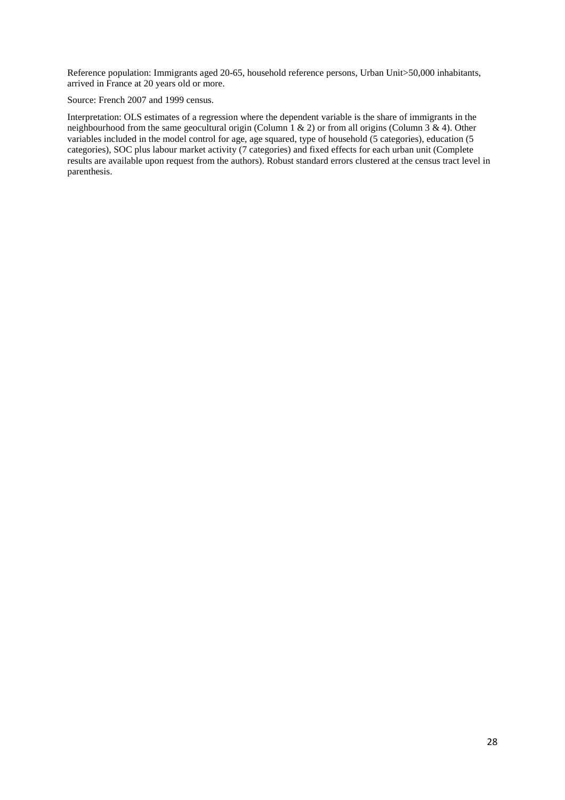Reference population: Immigrants aged 20-65, household reference persons, Urban Unit>50,000 inhabitants, arrived in France at 20 years old or more.

Source: French 2007 and 1999 census.

Interpretation: OLS estimates of a regression where the dependent variable is the share of immigrants in the neighbourhood from the same geocultural origin (Column 1 & 2) or from all origins (Column 3 & 4). Other variables included in the model control for age, age squared, type of household (5 categories), education (5 categories), SOC plus labour market activity (7 categories) and fixed effects for each urban unit (Complete results are available upon request from the authors). Robust standard errors clustered at the census tract level in parenthesis.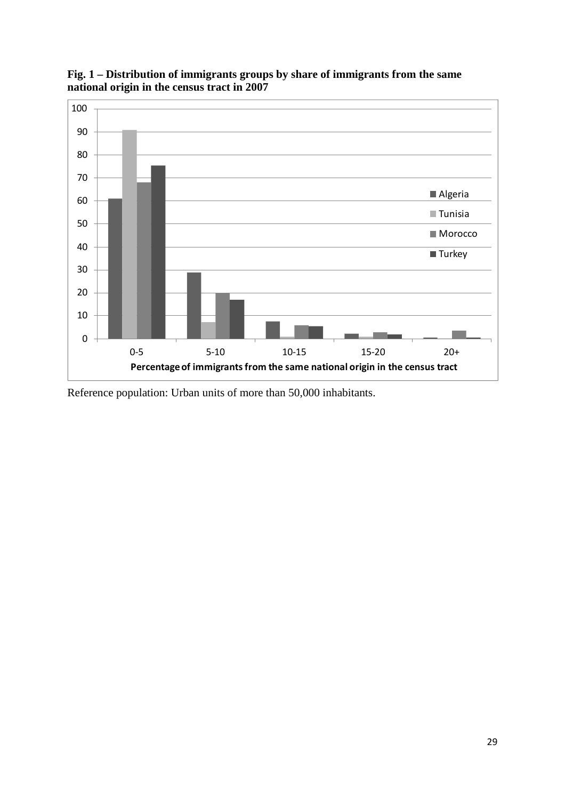

**Fig. 1 – Distribution of immigrants groups by share of immigrants from the same national origin in the census tract in 2007**

Reference population: Urban units of more than 50,000 inhabitants.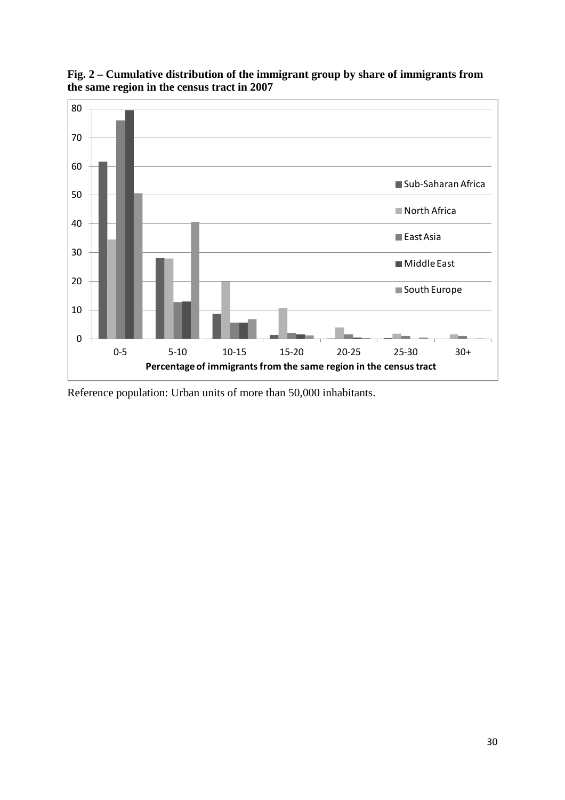

**Fig. 2 – Cumulative distribution of the immigrant group by share of immigrants from the same region in the census tract in 2007** 

Reference population: Urban units of more than 50,000 inhabitants.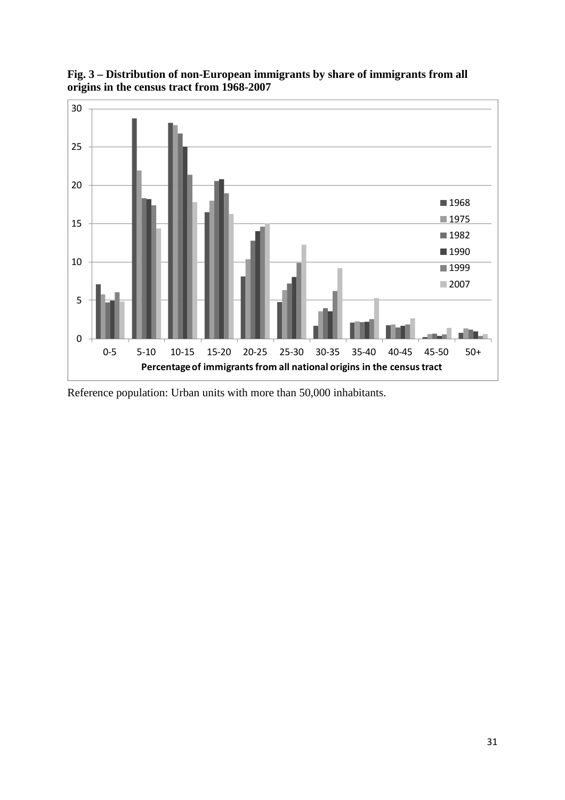

**Fig. 3 – Distribution of non-European immigrants by share of immigrants from all origins in the census tract from 1968-2007** 

Reference population: Urban units with more than 50,000 inhabitants.